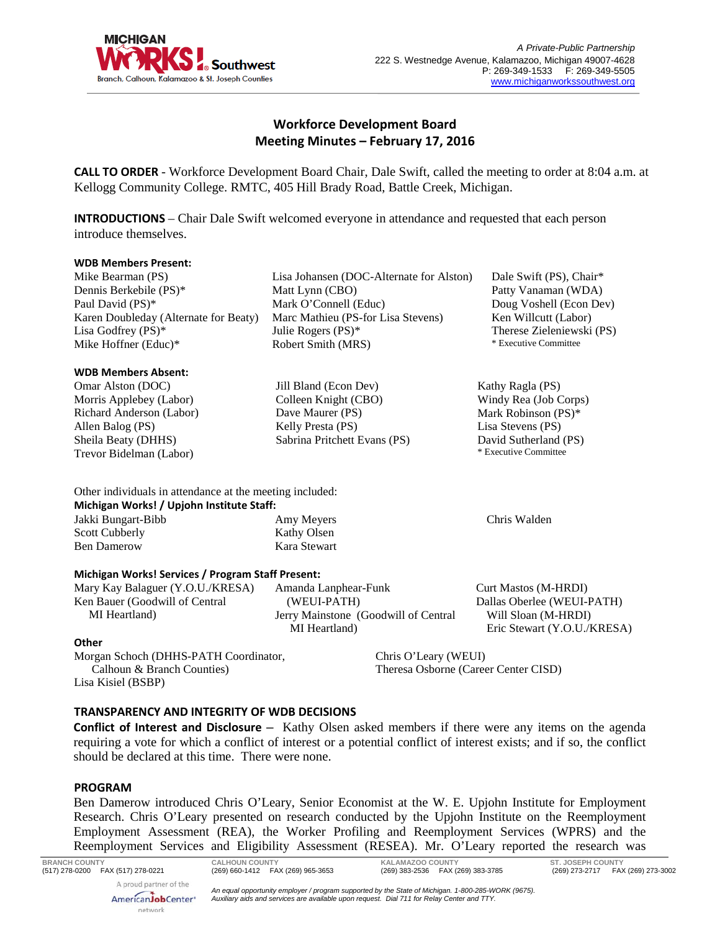

# **Workforce Development Board Meeting Minutes – February 17, 2016**

**CALL TO ORDER** - Workforce Development Board Chair, Dale Swift, called the meeting to order at 8:04 a.m. at Kellogg Community College. RMTC, 405 Hill Brady Road, Battle Creek, Michigan.

Lisa Johansen (DOC-Alternate for Alston)

Marc Mathieu (PS-for Lisa Stevens)

**INTRODUCTIONS** – Chair Dale Swift welcomed everyone in attendance and requested that each person introduce themselves.

> Matt Lynn (CBO) Mark O'Connell (Educ)

Julie Rogers (PS)\* Robert Smith (MRS)

Kathy Olsen Kara Stewart

Jill Bland (Econ Dev) Colleen Knight (CBO) Dave Maurer (PS) Kelly Presta (PS)

Sabrina Pritchett Evans (PS)

# **WDB Members Present:**

Mike Bearman (PS) Dennis Berkebile (PS)\* Paul David (PS)\* Karen Doubleday (Alternate for Beaty) Lisa Godfrey (PS)\* Mike Hoffner (Educ)\*

#### **WDB Members Absent:**

Omar Alston (DOC) Morris Applebey (Labor) Richard Anderson (Labor) Allen Balog (PS) Sheila Beaty (DHHS) Trevor Bidelman (Labor)

#### Other individuals in attendance at the meeting included: **Michigan Works! / Upjohn Institute Staff:** Amy Meyers

Jakki Bungart-Bibb Scott Cubberly Ben Damerow

# **Michigan Works! Services / Program Staff Present:**

Mary Kay Balaguer (Y.O.U./KRESA) Ken Bauer (Goodwill of Central MI Heartland)

Amanda Lanphear-Funk (WEUI-PATH) Jerry Mainstone (Goodwill of Central MI Heartland)

Dale Swift (PS), Chair\* Patty Vanaman (WDA) Doug Voshell (Econ Dev) Ken Willcutt (Labor) Therese Zieleniewski (PS) \* Executive Committee

Kathy Ragla (PS) Windy Rea (Job Corps) Mark Robinson (PS)\* Lisa Stevens (PS) David Sutherland (PS) \* Executive Committee

Chris Walden

Curt Mastos (M-HRDI) Dallas Oberlee (WEUI-PATH) Will Sloan (M-HRDI) Eric Stewart (Y.O.U./KRESA)

#### **Other**

Morgan Schoch (DHHS-PATH Coordinator, Calhoun & Branch Counties) Lisa Kisiel (BSBP)

Chris O'Leary (WEUI) Theresa Osborne (Career Center CISD)

# **TRANSPARENCY AND INTEGRITY OF WDB DECISIONS**

**Conflict of Interest and Disclosure –** Kathy Olsen asked members if there were any items on the agenda requiring a vote for which a conflict of interest or a potential conflict of interest exists; and if so, the conflict should be declared at this time. There were none.

# **PROGRAM**

Ben Damerow introduced Chris O'Leary, Senior Economist at the W. E. Upjohn Institute for Employment Research. Chris O'Leary presented on research conducted by the Upjohn Institute on the Reemployment Employment Assessment (REA), the Worker Profiling and Reemployment Services (WPRS) and the Reemployment Services and Eligibility Assessment (RESEA). Mr. O'Leary reported the research was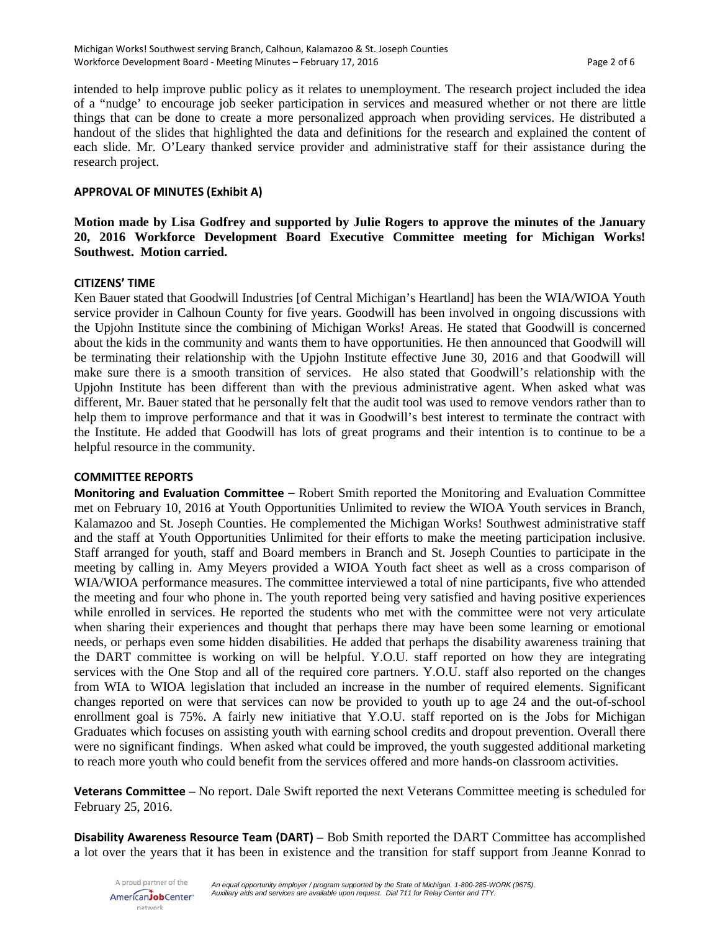intended to help improve public policy as it relates to unemployment. The research project included the idea of a "nudge' to encourage job seeker participation in services and measured whether or not there are little things that can be done to create a more personalized approach when providing services. He distributed a handout of the slides that highlighted the data and definitions for the research and explained the content of each slide. Mr. O'Leary thanked service provider and administrative staff for their assistance during the research project.

# **APPROVAL OF MINUTES (Exhibit A)**

**Motion made by Lisa Godfrey and supported by Julie Rogers to approve the minutes of the January 20, 2016 Workforce Development Board Executive Committee meeting for Michigan Works! Southwest. Motion carried.** 

# **CITIZENS' TIME**

Ken Bauer stated that Goodwill Industries [of Central Michigan's Heartland] has been the WIA/WIOA Youth service provider in Calhoun County for five years. Goodwill has been involved in ongoing discussions with the Upjohn Institute since the combining of Michigan Works! Areas. He stated that Goodwill is concerned about the kids in the community and wants them to have opportunities. He then announced that Goodwill will be terminating their relationship with the Upjohn Institute effective June 30, 2016 and that Goodwill will make sure there is a smooth transition of services. He also stated that Goodwill's relationship with the Upjohn Institute has been different than with the previous administrative agent. When asked what was different, Mr. Bauer stated that he personally felt that the audit tool was used to remove vendors rather than to help them to improve performance and that it was in Goodwill's best interest to terminate the contract with the Institute. He added that Goodwill has lots of great programs and their intention is to continue to be a helpful resource in the community.

# **COMMITTEE REPORTS**

**Monitoring and Evaluation Committee** – Robert Smith reported the Monitoring and Evaluation Committee met on February 10, 2016 at Youth Opportunities Unlimited to review the WIOA Youth services in Branch, Kalamazoo and St. Joseph Counties. He complemented the Michigan Works! Southwest administrative staff and the staff at Youth Opportunities Unlimited for their efforts to make the meeting participation inclusive. Staff arranged for youth, staff and Board members in Branch and St. Joseph Counties to participate in the meeting by calling in. Amy Meyers provided a WIOA Youth fact sheet as well as a cross comparison of WIA/WIOA performance measures. The committee interviewed a total of nine participants, five who attended the meeting and four who phone in. The youth reported being very satisfied and having positive experiences while enrolled in services. He reported the students who met with the committee were not very articulate when sharing their experiences and thought that perhaps there may have been some learning or emotional needs, or perhaps even some hidden disabilities. He added that perhaps the disability awareness training that the DART committee is working on will be helpful. Y.O.U. staff reported on how they are integrating services with the One Stop and all of the required core partners. Y.O.U. staff also reported on the changes from WIA to WIOA legislation that included an increase in the number of required elements. Significant changes reported on were that services can now be provided to youth up to age 24 and the out-of-school enrollment goal is 75%. A fairly new initiative that Y.O.U. staff reported on is the Jobs for Michigan Graduates which focuses on assisting youth with earning school credits and dropout prevention. Overall there were no significant findings. When asked what could be improved, the youth suggested additional marketing to reach more youth who could benefit from the services offered and more hands-on classroom activities.

**Veterans Committee** – No report. Dale Swift reported the next Veterans Committee meeting is scheduled for February 25, 2016.

**Disability Awareness Resource Team (DART)** – Bob Smith reported the DART Committee has accomplished a lot over the years that it has been in existence and the transition for staff support from Jeanne Konrad to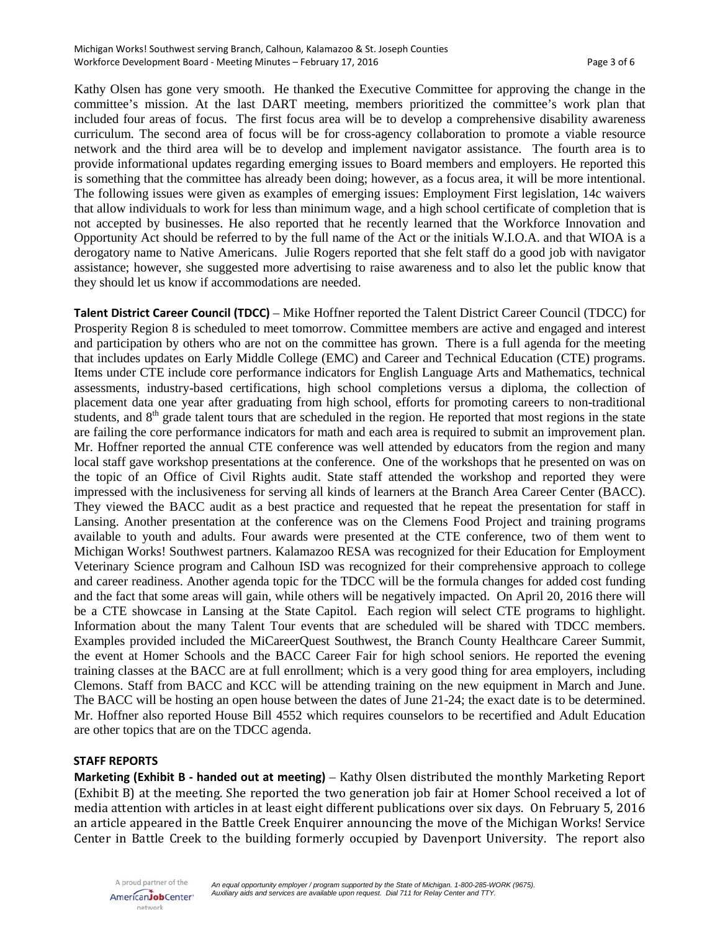Kathy Olsen has gone very smooth. He thanked the Executive Committee for approving the change in the committee's mission. At the last DART meeting, members prioritized the committee's work plan that included four areas of focus. The first focus area will be to develop a comprehensive disability awareness curriculum. The second area of focus will be for cross-agency collaboration to promote a viable resource network and the third area will be to develop and implement navigator assistance. The fourth area is to provide informational updates regarding emerging issues to Board members and employers. He reported this is something that the committee has already been doing; however, as a focus area, it will be more intentional. The following issues were given as examples of emerging issues: Employment First legislation, 14c waivers that allow individuals to work for less than minimum wage, and a high school certificate of completion that is not accepted by businesses. He also reported that he recently learned that the Workforce Innovation and Opportunity Act should be referred to by the full name of the Act or the initials W.I.O.A. and that WIOA is a derogatory name to Native Americans. Julie Rogers reported that she felt staff do a good job with navigator assistance; however, she suggested more advertising to raise awareness and to also let the public know that they should let us know if accommodations are needed.

**Talent District Career Council (TDCC)** – Mike Hoffner reported the Talent District Career Council (TDCC) for Prosperity Region 8 is scheduled to meet tomorrow. Committee members are active and engaged and interest and participation by others who are not on the committee has grown. There is a full agenda for the meeting that includes updates on Early Middle College (EMC) and Career and Technical Education (CTE) programs. Items under CTE include core performance indicators for English Language Arts and Mathematics, technical assessments, industry-based certifications, high school completions versus a diploma, the collection of placement data one year after graduating from high school, efforts for promoting careers to non-traditional students, and 8<sup>th</sup> grade talent tours that are scheduled in the region. He reported that most regions in the state are failing the core performance indicators for math and each area is required to submit an improvement plan. Mr. Hoffner reported the annual CTE conference was well attended by educators from the region and many local staff gave workshop presentations at the conference. One of the workshops that he presented on was on the topic of an Office of Civil Rights audit. State staff attended the workshop and reported they were impressed with the inclusiveness for serving all kinds of learners at the Branch Area Career Center (BACC). They viewed the BACC audit as a best practice and requested that he repeat the presentation for staff in Lansing. Another presentation at the conference was on the Clemens Food Project and training programs available to youth and adults. Four awards were presented at the CTE conference, two of them went to Michigan Works! Southwest partners. Kalamazoo RESA was recognized for their Education for Employment Veterinary Science program and Calhoun ISD was recognized for their comprehensive approach to college and career readiness. Another agenda topic for the TDCC will be the formula changes for added cost funding and the fact that some areas will gain, while others will be negatively impacted. On April 20, 2016 there will be a CTE showcase in Lansing at the State Capitol. Each region will select CTE programs to highlight. Information about the many Talent Tour events that are scheduled will be shared with TDCC members. Examples provided included the MiCareerQuest Southwest, the Branch County Healthcare Career Summit, the event at Homer Schools and the BACC Career Fair for high school seniors. He reported the evening training classes at the BACC are at full enrollment; which is a very good thing for area employers, including Clemons. Staff from BACC and KCC will be attending training on the new equipment in March and June. The BACC will be hosting an open house between the dates of June 21-24; the exact date is to be determined. Mr. Hoffner also reported House Bill 4552 which requires counselors to be recertified and Adult Education are other topics that are on the TDCC agenda.

# **STAFF REPORTS**

**Marketing (Exhibit B - handed out at meeting)** – Kathy Olsen distributed the monthly Marketing Report (Exhibit B) at the meeting. She reported the two generation job fair at Homer School received a lot of media attention with articles in at least eight different publications over six days. On February 5, 2016 an article appeared in the Battle Creek Enquirer announcing the move of the Michigan Works! Service Center in Battle Creek to the building formerly occupied by Davenport University. The report also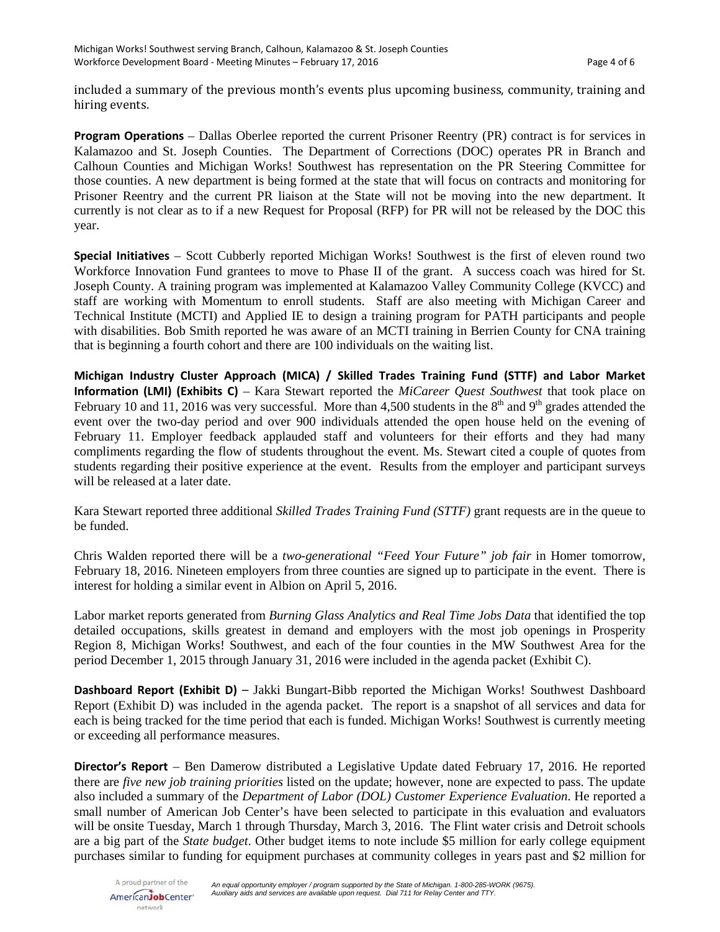included a summary of the previous month's events plus upcoming business, community, training and hiring events.

**Program Operations** – Dallas Oberlee reported the current Prisoner Reentry (PR) contract is for services in Kalamazoo and St. Joseph Counties. The Department of Corrections (DOC) operates PR in Branch and Calhoun Counties and Michigan Works! Southwest has representation on the PR Steering Committee for those counties. A new department is being formed at the state that will focus on contracts and monitoring for Prisoner Reentry and the current PR liaison at the State will not be moving into the new department. It currently is not clear as to if a new Request for Proposal (RFP) for PR will not be released by the DOC this year.

**Special Initiatives** – Scott Cubberly reported Michigan Works! Southwest is the first of eleven round two Workforce Innovation Fund grantees to move to Phase II of the grant. A success coach was hired for St. Joseph County. A training program was implemented at Kalamazoo Valley Community College (KVCC) and staff are working with Momentum to enroll students. Staff are also meeting with Michigan Career and Technical Institute (MCTI) and Applied IE to design a training program for PATH participants and people with disabilities. Bob Smith reported he was aware of an MCTI training in Berrien County for CNA training that is beginning a fourth cohort and there are 100 individuals on the waiting list.

**Michigan Industry Cluster Approach (MICA) / Skilled Trades Training Fund (STTF) and Labor Market Information (LMI) (Exhibits C)** – Kara Stewart reported the *MiCareer Quest Southwest* that took place on February 10 and 11, 2016 was very successful. More than 4,500 students in the  $8<sup>th</sup>$  and  $9<sup>th</sup>$  grades attended the event over the two-day period and over 900 individuals attended the open house held on the evening of February 11. Employer feedback applauded staff and volunteers for their efforts and they had many compliments regarding the flow of students throughout the event. Ms. Stewart cited a couple of quotes from students regarding their positive experience at the event. Results from the employer and participant surveys will be released at a later date.

Kara Stewart reported three additional *Skilled Trades Training Fund (STTF)* grant requests are in the queue to be funded.

Chris Walden reported there will be a *two-generational "Feed Your Future" job fair* in Homer tomorrow, February 18, 2016. Nineteen employers from three counties are signed up to participate in the event. There is interest for holding a similar event in Albion on April 5, 2016.

Labor market reports generated from *Burning Glass Analytics and Real Time Jobs Data* that identified the top detailed occupations, skills greatest in demand and employers with the most job openings in Prosperity Region 8, Michigan Works! Southwest, and each of the four counties in the MW Southwest Area for the period December 1, 2015 through January 31, 2016 were included in the agenda packet (Exhibit C).

**Dashboard Report (Exhibit D)** – Jakki Bungart-Bibb reported the Michigan Works! Southwest Dashboard Report (Exhibit D) was included in the agenda packet. The report is a snapshot of all services and data for each is being tracked for the time period that each is funded. Michigan Works! Southwest is currently meeting or exceeding all performance measures.

**Director's Report** – Ben Damerow distributed a Legislative Update dated February 17, 2016. He reported there are *five new job training priorities* listed on the update; however, none are expected to pass. The update also included a summary of the *Department of Labor (DOL) Customer Experience Evaluation*. He reported a small number of American Job Center's have been selected to participate in this evaluation and evaluators will be onsite Tuesday, March 1 through Thursday, March 3, 2016. The Flint water crisis and Detroit schools are a big part of the *State budget*. Other budget items to note include \$5 million for early college equipment purchases similar to funding for equipment purchases at community colleges in years past and \$2 million for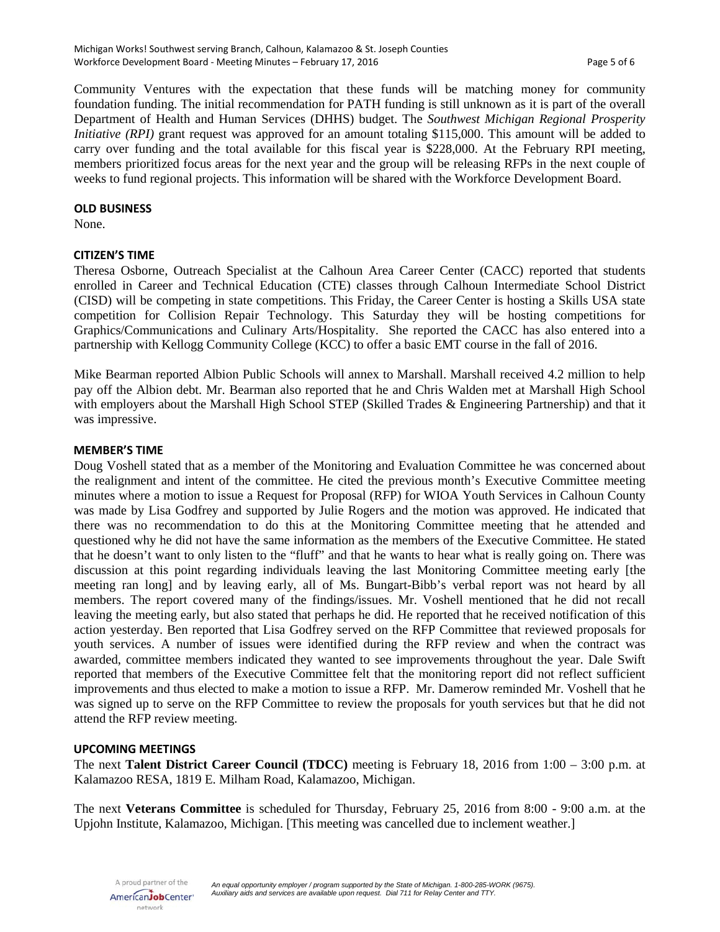Community Ventures with the expectation that these funds will be matching money for community foundation funding. The initial recommendation for PATH funding is still unknown as it is part of the overall Department of Health and Human Services (DHHS) budget. The *Southwest Michigan Regional Prosperity Initiative (RPI)* grant request was approved for an amount totaling \$115,000. This amount will be added to carry over funding and the total available for this fiscal year is \$228,000. At the February RPI meeting, members prioritized focus areas for the next year and the group will be releasing RFPs in the next couple of weeks to fund regional projects. This information will be shared with the Workforce Development Board.

#### **OLD BUSINESS**

None.

# **CITIZEN'S TIME**

Theresa Osborne, Outreach Specialist at the Calhoun Area Career Center (CACC) reported that students enrolled in Career and Technical Education (CTE) classes through Calhoun Intermediate School District (CISD) will be competing in state competitions. This Friday, the Career Center is hosting a Skills USA state competition for Collision Repair Technology. This Saturday they will be hosting competitions for Graphics/Communications and Culinary Arts/Hospitality. She reported the CACC has also entered into a partnership with Kellogg Community College (KCC) to offer a basic EMT course in the fall of 2016.

Mike Bearman reported Albion Public Schools will annex to Marshall. Marshall received 4.2 million to help pay off the Albion debt. Mr. Bearman also reported that he and Chris Walden met at Marshall High School with employers about the Marshall High School STEP (Skilled Trades & Engineering Partnership) and that it was impressive.

# **MEMBER'S TIME**

Doug Voshell stated that as a member of the Monitoring and Evaluation Committee he was concerned about the realignment and intent of the committee. He cited the previous month's Executive Committee meeting minutes where a motion to issue a Request for Proposal (RFP) for WIOA Youth Services in Calhoun County was made by Lisa Godfrey and supported by Julie Rogers and the motion was approved. He indicated that there was no recommendation to do this at the Monitoring Committee meeting that he attended and questioned why he did not have the same information as the members of the Executive Committee. He stated that he doesn't want to only listen to the "fluff" and that he wants to hear what is really going on. There was discussion at this point regarding individuals leaving the last Monitoring Committee meeting early [the meeting ran long] and by leaving early, all of Ms. Bungart-Bibb's verbal report was not heard by all members. The report covered many of the findings/issues. Mr. Voshell mentioned that he did not recall leaving the meeting early, but also stated that perhaps he did. He reported that he received notification of this action yesterday. Ben reported that Lisa Godfrey served on the RFP Committee that reviewed proposals for youth services. A number of issues were identified during the RFP review and when the contract was awarded, committee members indicated they wanted to see improvements throughout the year. Dale Swift reported that members of the Executive Committee felt that the monitoring report did not reflect sufficient improvements and thus elected to make a motion to issue a RFP. Mr. Damerow reminded Mr. Voshell that he was signed up to serve on the RFP Committee to review the proposals for youth services but that he did not attend the RFP review meeting.

# **UPCOMING MEETINGS**

The next **Talent District Career Council (TDCC)** meeting is February 18, 2016 from 1:00 – 3:00 p.m. at Kalamazoo RESA, 1819 E. Milham Road, Kalamazoo, Michigan.

The next **Veterans Committee** is scheduled for Thursday, February 25, 2016 from 8:00 - 9:00 a.m. at the Upjohn Institute, Kalamazoo, Michigan. [This meeting was cancelled due to inclement weather.]

A proud partner of the AmericanJobCenter\* network